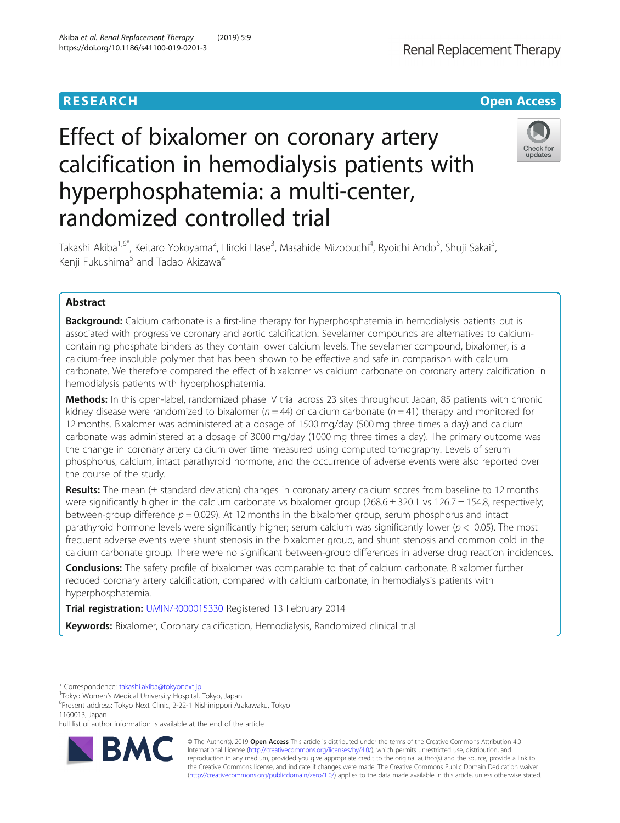# Effect of bixalomer on coronary artery calcification in hemodialysis patients with hyperphosphatemia: a multi-center, randomized controlled trial

Takashi Akiba<sup>1,6\*</sup>, Keitaro Yokoyama<sup>2</sup>, Hiroki Hase<sup>3</sup>, Masahide Mizobuchi<sup>4</sup>, Ryoichi Ando<sup>5</sup>, Shuji Sakai<sup>5</sup> , Kenii Fukushima<sup>5</sup> and Tadao Akizawa<sup>4</sup>

# Abstract

**Background:** Calcium carbonate is a first-line therapy for hyperphosphatemia in hemodialysis patients but is associated with progressive coronary and aortic calcification. Sevelamer compounds are alternatives to calciumcontaining phosphate binders as they contain lower calcium levels. The sevelamer compound, bixalomer, is a calcium-free insoluble polymer that has been shown to be effective and safe in comparison with calcium carbonate. We therefore compared the effect of bixalomer vs calcium carbonate on coronary artery calcification in hemodialysis patients with hyperphosphatemia.

Methods: In this open-label, randomized phase IV trial across 23 sites throughout Japan, 85 patients with chronic kidney disease were randomized to bixalomer ( $n = 44$ ) or calcium carbonate ( $n = 41$ ) therapy and monitored for 12 months. Bixalomer was administered at a dosage of 1500 mg/day (500 mg three times a day) and calcium carbonate was administered at a dosage of 3000 mg/day (1000 mg three times a day). The primary outcome was the change in coronary artery calcium over time measured using computed tomography. Levels of serum phosphorus, calcium, intact parathyroid hormone, and the occurrence of adverse events were also reported over the course of the study.

**Results:** The mean ( $\pm$  standard deviation) changes in coronary artery calcium scores from baseline to 12 months were significantly higher in the calcium carbonate vs bixalomer group ( $268.6 \pm 320.1$  vs 126.7  $\pm$  154.8, respectively; between-group difference  $p = 0.029$ ). At 12 months in the bixalomer group, serum phosphorus and intact parathyroid hormone levels were significantly higher; serum calcium was significantly lower ( $p < 0.05$ ). The most frequent adverse events were shunt stenosis in the bixalomer group, and shunt stenosis and common cold in the calcium carbonate group. There were no significant between-group differences in adverse drug reaction incidences.

**Conclusions:** The safety profile of bixalomer was comparable to that of calcium carbonate. Bixalomer further reduced coronary artery calcification, compared with calcium carbonate, in hemodialysis patients with hyperphosphatemia.

Trial registration: [UMIN/R000015330](https://upload.umin.ac.jp/cgi-open-bin/ctr/ctr.cgi?function=brows&action=brows&recptno=R000015330&type=summary&language=J) Registered 13 February 2014

Keywords: Bixalomer, Coronary calcification, Hemodialysis, Randomized clinical trial









© The Author(s). 2019 **Open Access** This article is distributed under the terms of the Creative Commons Attribution 4.0 International License [\(http://creativecommons.org/licenses/by/4.0/](http://creativecommons.org/licenses/by/4.0/)), which permits unrestricted use, distribution, and reproduction in any medium, provided you give appropriate credit to the original author(s) and the source, provide a link to the Creative Commons license, and indicate if changes were made. The Creative Commons Public Domain Dedication waiver [\(http://creativecommons.org/publicdomain/zero/1.0/](http://creativecommons.org/publicdomain/zero/1.0/)) applies to the data made available in this article, unless otherwise stated.

<sup>\*</sup> Correspondence: [takashi.akiba@tokyonext.jp](mailto:takashi.akiba@tokyonext.jp) <sup>1</sup>

<sup>&</sup>lt;sup>1</sup>Tokyo Women's Medical University Hospital, Tokyo, Japan

Present address: Tokyo Next Clinic, 2-22-1 Nishinippori Arakawaku, Tokyo 1160013, Japan

Full list of author information is available at the end of the article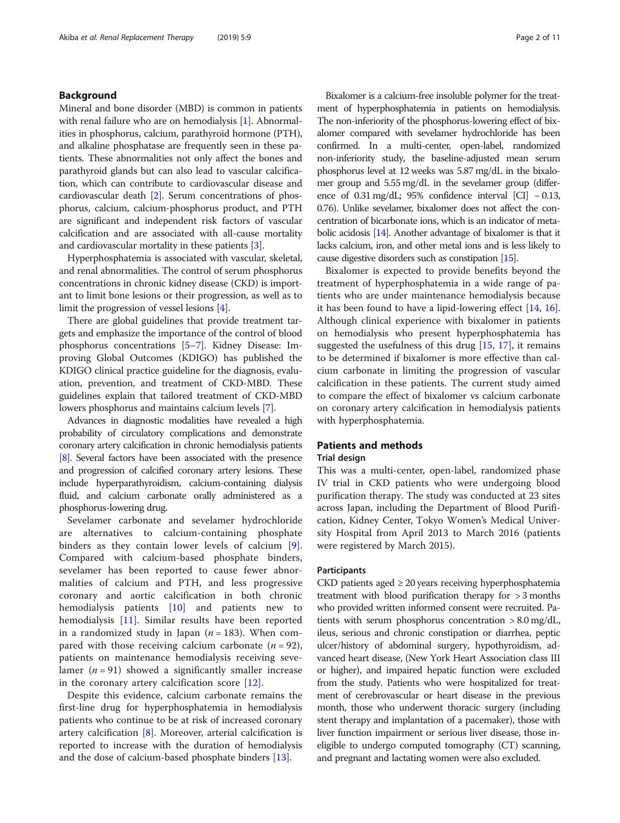# Background

Mineral and bone disorder (MBD) is common in patients with renal failure who are on hemodialysis [\[1](#page-9-0)]. Abnormalities in phosphorus, calcium, parathyroid hormone (PTH), and alkaline phosphatase are frequently seen in these patients. These abnormalities not only affect the bones and parathyroid glands but can also lead to vascular calcification, which can contribute to cardiovascular disease and cardiovascular death [[2](#page-10-0)]. Serum concentrations of phosphorus, calcium, calcium-phosphorus product, and PTH are significant and independent risk factors of vascular calcification and are associated with all-cause mortality and cardiovascular mortality in these patients [\[3\]](#page-10-0).

Hyperphosphatemia is associated with vascular, skeletal, and renal abnormalities. The control of serum phosphorus concentrations in chronic kidney disease (CKD) is important to limit bone lesions or their progression, as well as to limit the progression of vessel lesions [\[4](#page-10-0)].

There are global guidelines that provide treatment targets and emphasize the importance of the control of blood phosphorus concentrations [[5](#page-10-0)–[7](#page-10-0)]. Kidney Disease: Improving Global Outcomes (KDIGO) has published the KDIGO clinical practice guideline for the diagnosis, evaluation, prevention, and treatment of CKD-MBD. These guidelines explain that tailored treatment of CKD-MBD lowers phosphorus and maintains calcium levels [\[7](#page-10-0)].

Advances in diagnostic modalities have revealed a high probability of circulatory complications and demonstrate coronary artery calcification in chronic hemodialysis patients [[8](#page-10-0)]. Several factors have been associated with the presence and progression of calcified coronary artery lesions. These include hyperparathyroidism, calcium-containing dialysis fluid, and calcium carbonate orally administered as a phosphorus-lowering drug.

Sevelamer carbonate and sevelamer hydrochloride are alternatives to calcium-containing phosphate binders as they contain lower levels of calcium [\[9](#page-10-0)]. Compared with calcium-based phosphate binders, sevelamer has been reported to cause fewer abnormalities of calcium and PTH, and less progressive coronary and aortic calcification in both chronic hemodialysis patients [\[10](#page-10-0)] and patients new to hemodialysis [\[11](#page-10-0)]. Similar results have been reported in a randomized study in Japan ( $n = 183$ ). When compared with those receiving calcium carbonate  $(n = 92)$ , patients on maintenance hemodialysis receiving sevelamer ( $n = 91$ ) showed a significantly smaller increase in the coronary artery calcification score [[12\]](#page-10-0).

Despite this evidence, calcium carbonate remains the first-line drug for hyperphosphatemia in hemodialysis patients who continue to be at risk of increased coronary artery calcification [[8\]](#page-10-0). Moreover, arterial calcification is reported to increase with the duration of hemodialysis and the dose of calcium-based phosphate binders [\[13](#page-10-0)].

Bixalomer is a calcium-free insoluble polymer for the treatment of hyperphosphatemia in patients on hemodialysis. The non-inferiority of the phosphorus-lowering effect of bixalomer compared with sevelamer hydrochloride has been confirmed. In a multi-center, open-label, randomized non-inferiority study, the baseline-adjusted mean serum phosphorus level at 12 weeks was 5.87 mg/dL in the bixalomer group and 5.55 mg/dL in the sevelamer group (difference of 0.31 mg/dL; 95% confidence interval [CI] − 0.13, 0.76). Unlike sevelamer, bixalomer does not affect the concentration of bicarbonate ions, which is an indicator of metabolic acidosis [\[14\]](#page-10-0). Another advantage of bixalomer is that it lacks calcium, iron, and other metal ions and is less likely to cause digestive disorders such as constipation [\[15](#page-10-0)].

Bixalomer is expected to provide benefits beyond the treatment of hyperphosphatemia in a wide range of patients who are under maintenance hemodialysis because it has been found to have a lipid-lowering effect [\[14](#page-10-0), [16](#page-10-0)]. Although clinical experience with bixalomer in patients on hemodialysis who present hyperphosphatemia has suggested the usefulness of this drug [\[15](#page-10-0), [17\]](#page-10-0), it remains to be determined if bixalomer is more effective than calcium carbonate in limiting the progression of vascular calcification in these patients. The current study aimed to compare the effect of bixalomer vs calcium carbonate on coronary artery calcification in hemodialysis patients with hyperphosphatemia.

# Patients and methods

#### Trial design

This was a multi-center, open-label, randomized phase IV trial in CKD patients who were undergoing blood purification therapy. The study was conducted at 23 sites across Japan, including the Department of Blood Purification, Kidney Center, Tokyo Women's Medical University Hospital from April 2013 to March 2016 (patients were registered by March 2015).

# Participants

CKD patients aged ≥ 20 years receiving hyperphosphatemia treatment with blood purification therapy for > 3 months who provided written informed consent were recruited. Patients with serum phosphorus concentration > 8.0 mg/dL, ileus, serious and chronic constipation or diarrhea, peptic ulcer/history of abdominal surgery, hypothyroidism, advanced heart disease, (New York Heart Association class III or higher), and impaired hepatic function were excluded from the study. Patients who were hospitalized for treatment of cerebrovascular or heart disease in the previous month, those who underwent thoracic surgery (including stent therapy and implantation of a pacemaker), those with liver function impairment or serious liver disease, those ineligible to undergo computed tomography (CT) scanning, and pregnant and lactating women were also excluded.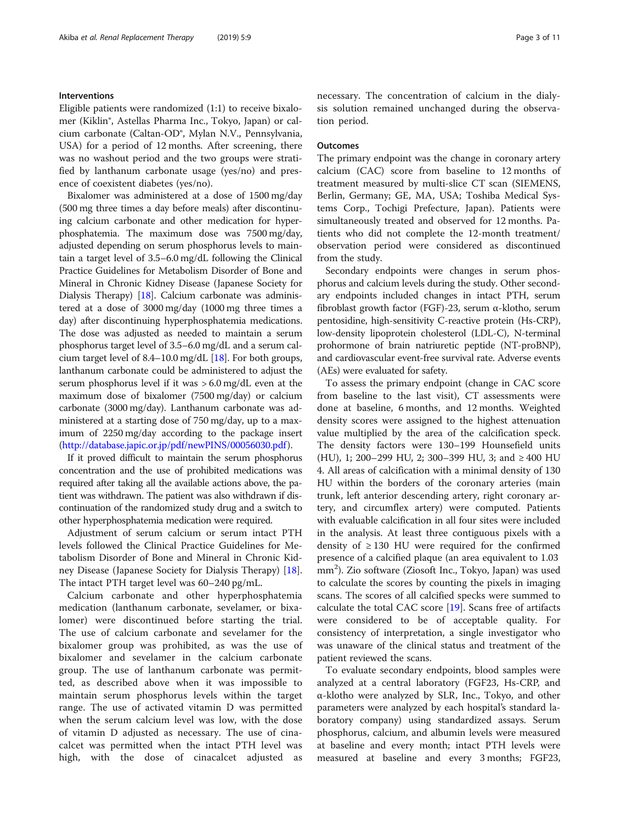# Interventions

Eligible patients were randomized (1:1) to receive bixalomer (Kiklin®, Astellas Pharma Inc., Tokyo, Japan) or calcium carbonate (Caltan-OD®, Mylan N.V., Pennsylvania, USA) for a period of 12 months. After screening, there was no washout period and the two groups were stratified by lanthanum carbonate usage (yes/no) and presence of coexistent diabetes (yes/no).

Bixalomer was administered at a dose of 1500 mg/day (500 mg three times a day before meals) after discontinuing calcium carbonate and other medication for hyperphosphatemia. The maximum dose was 7500 mg/day, adjusted depending on serum phosphorus levels to maintain a target level of 3.5–6.0 mg/dL following the Clinical Practice Guidelines for Metabolism Disorder of Bone and Mineral in Chronic Kidney Disease (Japanese Society for Dialysis Therapy) [\[18\]](#page-10-0). Calcium carbonate was administered at a dose of 3000 mg/day (1000 mg three times a day) after discontinuing hyperphosphatemia medications. The dose was adjusted as needed to maintain a serum phosphorus target level of 3.5–6.0 mg/dL and a serum calcium target level of  $8.4-10.0$  mg/dL [[18](#page-10-0)]. For both groups, lanthanum carbonate could be administered to adjust the serum phosphorus level if it was > 6.0 mg/dL even at the maximum dose of bixalomer (7500 mg/day) or calcium carbonate (3000 mg/day). Lanthanum carbonate was administered at a starting dose of 750 mg/day, up to a maximum of 2250 mg/day according to the package insert (<http://database.japic.or.jp/pdf/newPINS/00056030.pdf>).

If it proved difficult to maintain the serum phosphorus concentration and the use of prohibited medications was required after taking all the available actions above, the patient was withdrawn. The patient was also withdrawn if discontinuation of the randomized study drug and a switch to other hyperphosphatemia medication were required.

Adjustment of serum calcium or serum intact PTH levels followed the Clinical Practice Guidelines for Metabolism Disorder of Bone and Mineral in Chronic Kidney Disease (Japanese Society for Dialysis Therapy) [\[18](#page-10-0)]. The intact PTH target level was 60–240 pg/mL.

Calcium carbonate and other hyperphosphatemia medication (lanthanum carbonate, sevelamer, or bixalomer) were discontinued before starting the trial. The use of calcium carbonate and sevelamer for the bixalomer group was prohibited, as was the use of bixalomer and sevelamer in the calcium carbonate group. The use of lanthanum carbonate was permitted, as described above when it was impossible to maintain serum phosphorus levels within the target range. The use of activated vitamin D was permitted when the serum calcium level was low, with the dose of vitamin D adjusted as necessary. The use of cinacalcet was permitted when the intact PTH level was high, with the dose of cinacalcet adjusted as necessary. The concentration of calcium in the dialysis solution remained unchanged during the observation period.

# **Outcomes**

The primary endpoint was the change in coronary artery calcium (CAC) score from baseline to 12 months of treatment measured by multi-slice CT scan (SIEMENS, Berlin, Germany; GE, MA, USA; Toshiba Medical Systems Corp., Tochigi Prefecture, Japan). Patients were simultaneously treated and observed for 12 months. Patients who did not complete the 12-month treatment/ observation period were considered as discontinued from the study.

Secondary endpoints were changes in serum phosphorus and calcium levels during the study. Other secondary endpoints included changes in intact PTH, serum fibroblast growth factor (FGF)-23, serum α-klotho, serum pentosidine, high-sensitivity C-reactive protein (Hs-CRP), low-density lipoprotein cholesterol (LDL-C), N-terminal prohormone of brain natriuretic peptide (NT-proBNP), and cardiovascular event-free survival rate. Adverse events (AEs) were evaluated for safety.

To assess the primary endpoint (change in CAC score from baseline to the last visit), CT assessments were done at baseline, 6 months, and 12 months. Weighted density scores were assigned to the highest attenuation value multiplied by the area of the calcification speck. The density factors were 130–199 Hounsefield units (HU), 1; 200–299 HU, 2; 300–399 HU, 3; and ≥ 400 HU 4. All areas of calcification with a minimal density of 130 HU within the borders of the coronary arteries (main trunk, left anterior descending artery, right coronary artery, and circumflex artery) were computed. Patients with evaluable calcification in all four sites were included in the analysis. At least three contiguous pixels with a density of  $\geq$  130 HU were required for the confirmed presence of a calcified plaque (an area equivalent to 1.03 mm<sup>2</sup> ). Zio software (Ziosoft Inc., Tokyo, Japan) was used to calculate the scores by counting the pixels in imaging scans. The scores of all calcified specks were summed to calculate the total CAC score [\[19\]](#page-10-0). Scans free of artifacts were considered to be of acceptable quality. For consistency of interpretation, a single investigator who was unaware of the clinical status and treatment of the patient reviewed the scans.

To evaluate secondary endpoints, blood samples were analyzed at a central laboratory (FGF23, Hs-CRP, and α-klotho were analyzed by SLR, Inc., Tokyo, and other parameters were analyzed by each hospital's standard laboratory company) using standardized assays. Serum phosphorus, calcium, and albumin levels were measured at baseline and every month; intact PTH levels were measured at baseline and every 3 months; FGF23,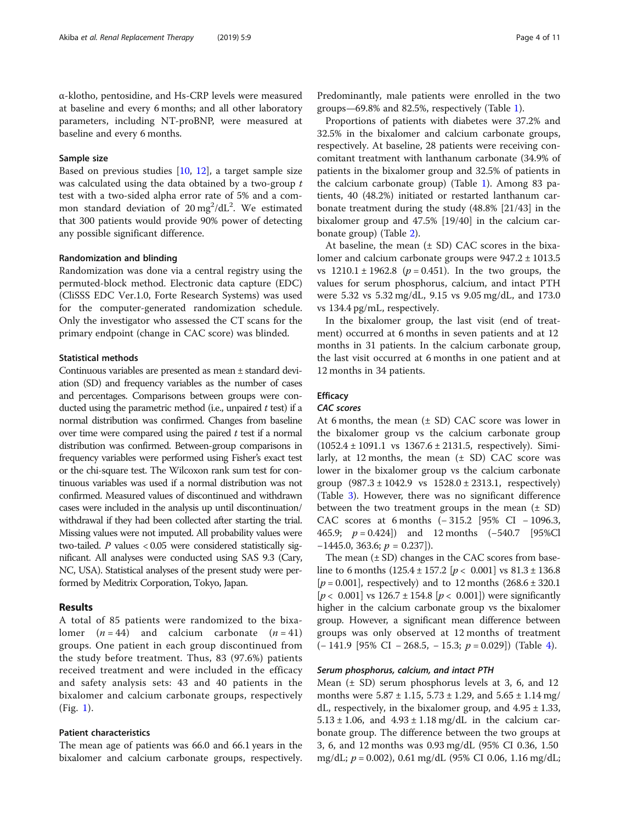α-klotho, pentosidine, and Hs-CRP levels were measured at baseline and every 6 months; and all other laboratory parameters, including NT-proBNP, were measured at baseline and every 6 months.

# Sample size

Based on previous studies  $[10, 12]$  $[10, 12]$  $[10, 12]$  $[10, 12]$  $[10, 12]$ , a target sample size was calculated using the data obtained by a two-group t test with a two-sided alpha error rate of 5% and a common standard deviation of  $20 \,\mathrm{mg}^2/\mathrm{d} \mathrm{L}^2$ . We estimated that 300 patients would provide 90% power of detecting any possible significant difference.

#### Randomization and blinding

Randomization was done via a central registry using the permuted-block method. Electronic data capture (EDC) (CliSSS EDC Ver.1.0, Forte Research Systems) was used for the computer-generated randomization schedule. Only the investigator who assessed the CT scans for the primary endpoint (change in CAC score) was blinded.

#### Statistical methods

Continuous variables are presented as mean ± standard deviation (SD) and frequency variables as the number of cases and percentages. Comparisons between groups were conducted using the parametric method (i.e., unpaired  $t$  test) if a normal distribution was confirmed. Changes from baseline over time were compared using the paired  $t$  test if a normal distribution was confirmed. Between-group comparisons in frequency variables were performed using Fisher's exact test or the chi-square test. The Wilcoxon rank sum test for continuous variables was used if a normal distribution was not confirmed. Measured values of discontinued and withdrawn cases were included in the analysis up until discontinuation/ withdrawal if they had been collected after starting the trial. Missing values were not imputed. All probability values were two-tailed.  $P$  values < 0.05 were considered statistically significant. All analyses were conducted using SAS 9.3 (Cary, NC, USA). Statistical analyses of the present study were performed by Meditrix Corporation, Tokyo, Japan.

# Results

A total of 85 patients were randomized to the bixalomer  $(n = 44)$  and calcium carbonate  $(n = 41)$ groups. One patient in each group discontinued from the study before treatment. Thus, 83 (97.6%) patients received treatment and were included in the efficacy and safety analysis sets: 43 and 40 patients in the bixalomer and calcium carbonate groups, respectively (Fig. [1](#page-4-0)).

# Patient characteristics

The mean age of patients was 66.0 and 66.1 years in the bixalomer and calcium carbonate groups, respectively. Predominantly, male patients were enrolled in the two groups—69.8% and 82.5%, respectively (Table [1\)](#page-5-0).

Proportions of patients with diabetes were 37.2% and 32.5% in the bixalomer and calcium carbonate groups, respectively. At baseline, 28 patients were receiving concomitant treatment with lanthanum carbonate (34.9% of patients in the bixalomer group and 32.5% of patients in the calcium carbonate group) (Table [1\)](#page-5-0). Among 83 patients, 40 (48.2%) initiated or restarted lanthanum carbonate treatment during the study (48.8% [21/43] in the bixalomer group and 47.5% [19/40] in the calcium carbonate group) (Table [2\)](#page-6-0).

At baseline, the mean  $(\pm SD)$  CAC scores in the bixalomer and calcium carbonate groups were 947.2 ± 1013.5 vs  $1210.1 \pm 1962.8$  ( $p = 0.451$ ). In the two groups, the values for serum phosphorus, calcium, and intact PTH were 5.32 vs 5.32 mg/dL, 9.15 vs 9.05 mg/dL, and 173.0 vs 134.4 pg/mL, respectively.

In the bixalomer group, the last visit (end of treatment) occurred at 6 months in seven patients and at 12 months in 31 patients. In the calcium carbonate group, the last visit occurred at 6 months in one patient and at 12 months in 34 patients.

# **Efficacy**

#### CAC scores

At 6 months, the mean  $(\pm SD)$  CAC score was lower in the bixalomer group vs the calcium carbonate group  $(1052.4 \pm 1091.1 \text{ vs } 1367.6 \pm 2131.5, \text{ respectively}).$  Similarly, at 12 months, the mean  $(\pm SD)$  CAC score was lower in the bixalomer group vs the calcium carbonate group  $(987.3 \pm 1042.9 \text{ vs } 1528.0 \pm 2313.1, \text{ respectively})$ (Table [3](#page-6-0)). However, there was no significant difference between the two treatment groups in the mean  $(\pm SD)$ CAC scores at 6 months (− 315.2 [95% CI − 1096.3, 465.9; p = 0.424]) and 12 months (−540.7 [95%Cl  $-1445.0$ , 363.6;  $p = 0.237$ ]).

The mean  $(\pm SD)$  changes in the CAC scores from baseline to 6 months  $(125.4 \pm 157.2 \,[p < 0.001] \text{ vs } 81.3 \pm 136.8]$  $[p = 0.001]$ , respectively) and to 12 months  $(268.6 \pm 320.1)$  $[p < 0.001]$  vs 126.7 ± 154.8  $[p < 0.001]$ ) were significantly higher in the calcium carbonate group vs the bixalomer group. However, a significant mean difference between groups was only observed at 12 months of treatment  $(-141.9 \ [95\% \ CI -268.5, -15.3; p = 0.029])$  (Table [4\)](#page-7-0).

# Serum phosphorus, calcium, and intact PTH

Mean  $(\pm$  SD) serum phosphorus levels at 3, 6, and 12 months were  $5.87 \pm 1.15$ ,  $5.73 \pm 1.29$ , and  $5.65 \pm 1.14$  mg/ dL, respectively, in the bixalomer group, and  $4.95 \pm 1.33$ ,  $5.13 \pm 1.06$ , and  $4.93 \pm 1.18$  mg/dL in the calcium carbonate group. The difference between the two groups at 3, 6, and 12 months was 0.93 mg/dL (95% CI 0.36, 1.50 mg/dL;  $p = 0.002$ ), 0.61 mg/dL (95% CI 0.06, 1.16 mg/dL;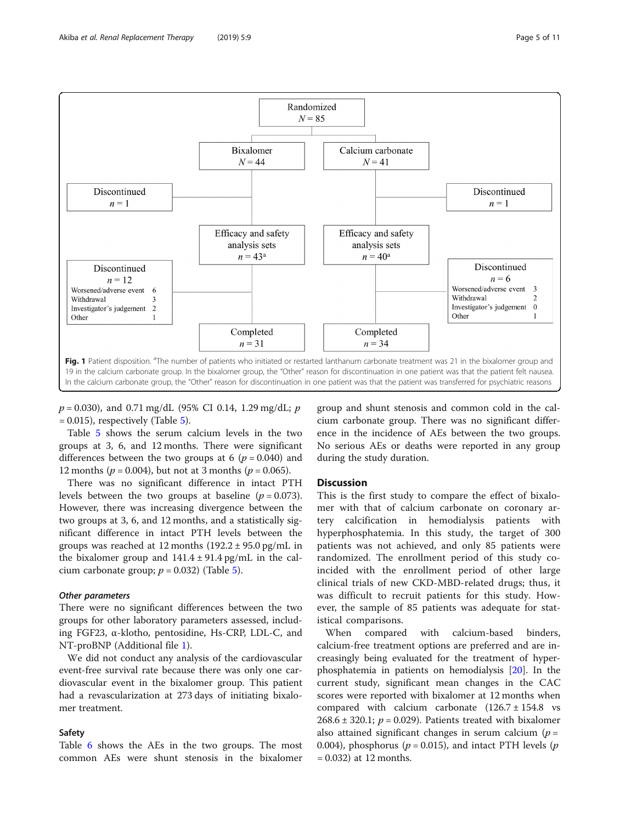<span id="page-4-0"></span>

 $p = 0.030$ ), and 0.71 mg/dL (95% CI 0.14, 1.29 mg/dL; p  $= 0.015$  $= 0.015$ ), respectively (Table 5).

Table [5](#page-8-0) shows the serum calcium levels in the two groups at 3, 6, and 12 months. There were significant differences between the two groups at 6 ( $p = 0.040$ ) and 12 months ( $p = 0.004$ ), but not at 3 months ( $p = 0.065$ ).

There was no significant difference in intact PTH levels between the two groups at baseline ( $p = 0.073$ ). However, there was increasing divergence between the two groups at 3, 6, and 12 months, and a statistically significant difference in intact PTH levels between the groups was reached at 12 months  $(192.2 \pm 95.0 \text{ pg/mL}$  in the bixalomer group and  $141.4 \pm 91.4$  pg/mL in the calcium carbonate group;  $p = 0.032$ ) (Table [5](#page-8-0)).

# Other parameters

There were no significant differences between the two groups for other laboratory parameters assessed, including FGF23, α-klotho, pentosidine, Hs-CRP, LDL-C, and NT-proBNP (Additional file [1](#page-9-0)).

We did not conduct any analysis of the cardiovascular event-free survival rate because there was only one cardiovascular event in the bixalomer group. This patient had a revascularization at 273 days of initiating bixalomer treatment.

# Safety

Table [6](#page-9-0) shows the AEs in the two groups. The most common AEs were shunt stenosis in the bixalomer

group and shunt stenosis and common cold in the calcium carbonate group. There was no significant difference in the incidence of AEs between the two groups. No serious AEs or deaths were reported in any group during the study duration.

# **Discussion**

This is the first study to compare the effect of bixalomer with that of calcium carbonate on coronary artery calcification in hemodialysis patients with hyperphosphatemia. In this study, the target of 300 patients was not achieved, and only 85 patients were randomized. The enrollment period of this study coincided with the enrollment period of other large clinical trials of new CKD-MBD-related drugs; thus, it was difficult to recruit patients for this study. However, the sample of 85 patients was adequate for statistical comparisons.

When compared with calcium-based binders, calcium-free treatment options are preferred and are increasingly being evaluated for the treatment of hyperphosphatemia in patients on hemodialysis [\[20\]](#page-10-0). In the current study, significant mean changes in the CAC scores were reported with bixalomer at 12 months when compared with calcium carbonate  $(126.7 \pm 154.8 \text{ vs } 12.5 \pm 15.5)$ 268.6  $\pm$  320.1;  $p$  = 0.029). Patients treated with bixalomer also attained significant changes in serum calcium ( $p =$ 0.004), phosphorus ( $p = 0.015$ ), and intact PTH levels ( $p$ ) = 0.032) at 12 months.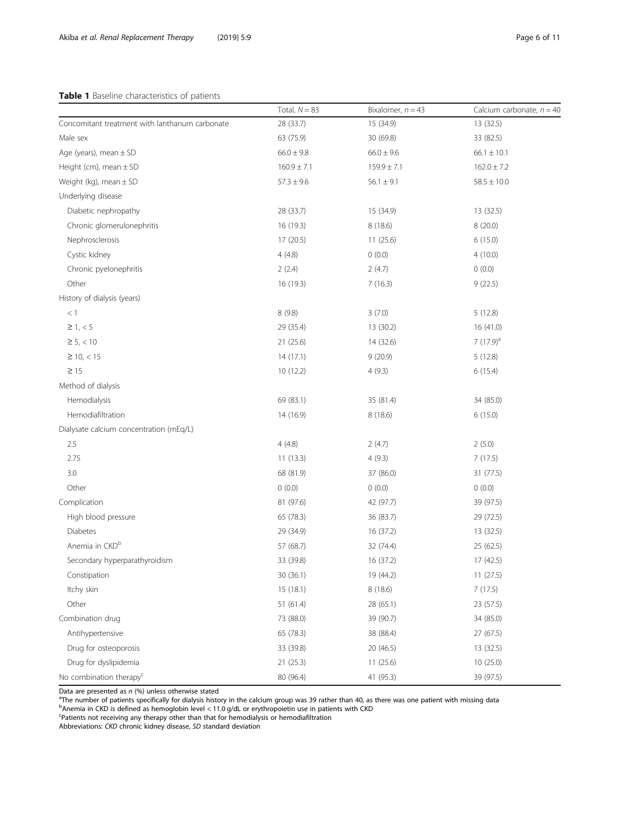# <span id="page-5-0"></span>Table 1 Baseline characteristics of patients

|                                                | Total, $N = 83$ | Bixalomer, $n = 43$ | Calcium carbonate, $n = 40$ |
|------------------------------------------------|-----------------|---------------------|-----------------------------|
| Concomitant treatment with lanthanum carbonate | 28 (33.7)       | 15 (34.9)           | 13 (32.5)                   |
| Male sex                                       | 63 (75.9)       | 30 (69.8)           | 33 (82.5)                   |
| Age (years), mean $\pm$ SD                     | $66.0 \pm 9.8$  | $66.0 \pm 9.6$      | $66.1 \pm 10.1$             |
| Height (cm), mean $\pm$ SD                     | $160.9 \pm 7.1$ | $159.9 \pm 7.1$     | $162.0 \pm 7.2$             |
| Weight (kg), mean $\pm$ SD                     | $57.3 \pm 9.6$  | $56.1 \pm 9.1$      | $58.5 \pm 10.0$             |
| Underlying disease                             |                 |                     |                             |
| Diabetic nephropathy                           | 28 (33.7)       | 15 (34.9)           | 13 (32.5)                   |
| Chronic glomerulonephritis                     | 16 (19.3)       | 8(18.6)             | 8(20.0)                     |
| Nephrosclerosis                                | 17 (20.5)       | 11(25.6)            | 6(15.0)                     |
| Cystic kidney                                  | 4(4.8)          | 0(0.0)              | 4(10.0)                     |
| Chronic pyelonephritis                         | 2(2.4)          | 2(4.7)              | 0(0.0)                      |
| Other                                          | 16 (19.3)       | 7(16.3)             | 9(22.5)                     |
| History of dialysis (years)                    |                 |                     |                             |
| < 1                                            | 8(9.8)          | 3(7.0)              | 5(12.8)                     |
| $\geq 1, \leq 5$                               | 29 (35.4)       | 13 (30.2)           | 16 (41.0)                   |
| $\geq$ 5, < 10                                 | 21(25.6)        | 14 (32.6)           | $7(17.9)^a$                 |
| $\geq$ 10, < 15                                | 14(17.1)        | 9(20.9)             | 5(12.8)                     |
| $\geq 15$                                      | 10 (12.2)       | 4(9.3)              | 6(15.4)                     |
| Method of dialysis                             |                 |                     |                             |
| Hemodialysis                                   | 69 (83.1)       | 35 (81.4)           | 34 (85.0)                   |
| Hemodiafiltration                              | 14 (16.9)       | 8(18.6)             | 6(15.0)                     |
| Dialysate calcium concentration (mEq/L)        |                 |                     |                             |
| 2.5                                            | 4(4.8)          | 2(4.7)              | 2(5.0)                      |
| 2.75                                           | 11(13.3)        | 4(9.3)              | 7(17.5)                     |
| 3.0                                            | 68 (81.9)       | 37 (86.0)           | 31 (77.5)                   |
| Other                                          | 0(0.0)          | 0(0.0)              | 0(0.0)                      |
| Complication                                   | 81 (97.6)       | 42 (97.7)           | 39 (97.5)                   |
| High blood pressure                            | 65 (78.3)       | 36 (83.7)           | 29 (72.5)                   |
| Diabetes                                       | 29 (34.9)       | 16 (37.2)           | 13 (32.5)                   |
| Anemia in CKD <sup>b</sup>                     | 57 (68.7)       | 32 (74.4)           | 25 (62.5)                   |
| Secondary hyperparathyroidism                  | 33 (39.8)       | 16 (37.2)           | 17 (42.5)                   |
| Constipation                                   | 30 (36.1)       | 19 (44.2)           | 11(27.5)                    |
| Itchy skin                                     | 15 (18.1)       | 8 (18.6)            | 7(17.5)                     |
| Other                                          | 51 (61.4)       | 28 (65.1)           | 23 (57.5)                   |
| Combination drug                               | 73 (88.0)       | 39 (90.7)           | 34 (85.0)                   |
| Antihypertensive                               | 65 (78.3)       | 38 (88.4)           | 27 (67.5)                   |
| Drug for osteoporosis                          | 33 (39.8)       | 20 (46.5)           | 13 (32.5)                   |
| Drug for dyslipidemia                          | 21(25.3)        | 11(25.6)            | 10(25.0)                    |
| No combination therapy <sup>c</sup>            | 80 (96.4)       | 41 (95.3)           | 39 (97.5)                   |

Data are presented as  $n$  (%) unless otherwise stated

<sup>a</sup>The number of patients specifically for dialysis history in the calcium group was 39 rather than 40, as there was one patient with missing data

<sup>b</sup>Anemia in CKD is defined as hemoglobin level < 11.0 g/dL or erythropoietin use in patients with CKD<br><sup>c</sup>Patients not receiving any therapy other than that for hemodialysis or hemodiafiltration

Abbreviations: CKD chronic kidney disease, SD standard deviation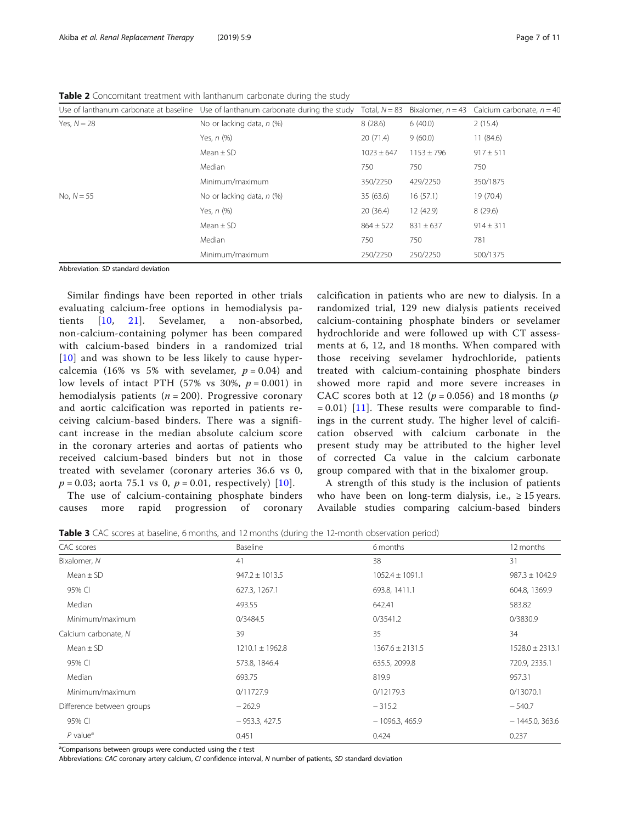<span id="page-6-0"></span>Table 2 Concomitant treatment with lanthanum carbonate during the study

|               | Use of lanthanum carbonate at baseline Use of lanthanum carbonate during the study Total, $N = 83$ Bixalomer, $n = 43$ Calcium carbonate, $n = 40$ |                |                |               |
|---------------|----------------------------------------------------------------------------------------------------------------------------------------------------|----------------|----------------|---------------|
| Yes, $N = 28$ | No or lacking data, n (%)                                                                                                                          | 8(28.6)        | 6(40.0)        | 2(15.4)       |
|               | Yes, n (%)                                                                                                                                         | 20(71.4)       | 9(60.0)        | 11(84.6)      |
|               | Mean $\pm$ SD                                                                                                                                      | $1023 \pm 647$ | $1153 \pm 796$ | $917 \pm 511$ |
|               | Median                                                                                                                                             | 750            | 750            | 750           |
|               | Minimum/maximum                                                                                                                                    | 350/2250       | 429/2250       | 350/1875      |
| No, $N = 55$  | No or lacking data, n (%)                                                                                                                          | 35(63.6)       | 16(57.1)       | 19 (70.4)     |
|               | Yes, n (%)                                                                                                                                         | 20(36.4)       | 12 (42.9)      | 8(29.6)       |
|               | Mean $\pm$ SD                                                                                                                                      | $864 \pm 522$  | $831 \pm 637$  | $914 \pm 311$ |
|               | Median                                                                                                                                             | 750            | 750            | 781           |
|               | Minimum/maximum                                                                                                                                    | 250/2250       | 250/2250       | 500/1375      |

Abbreviation: SD standard deviation

Similar findings have been reported in other trials evaluating calcium-free options in hemodialysis patients [\[10,](#page-10-0) [21\]](#page-10-0). Sevelamer, a non-absorbed, non-calcium-containing polymer has been compared with calcium-based binders in a randomized trial [[10](#page-10-0)] and was shown to be less likely to cause hypercalcemia (16% vs 5% with sevelamer,  $p = 0.04$ ) and low levels of intact PTH (57% vs 30%,  $p = 0.001$ ) in hemodialysis patients ( $n = 200$ ). Progressive coronary and aortic calcification was reported in patients receiving calcium-based binders. There was a significant increase in the median absolute calcium score in the coronary arteries and aortas of patients who received calcium-based binders but not in those treated with sevelamer (coronary arteries 36.6 vs 0,  $p = 0.03$ ; aorta 75.1 vs 0,  $p = 0.01$ , respectively) [\[10\]](#page-10-0).

The use of calcium-containing phosphate binders causes more rapid progression of coronary

calcification in patients who are new to dialysis. In a randomized trial, 129 new dialysis patients received calcium-containing phosphate binders or sevelamer hydrochloride and were followed up with CT assessments at 6, 12, and 18 months. When compared with those receiving sevelamer hydrochloride, patients treated with calcium-containing phosphate binders showed more rapid and more severe increases in CAC scores both at 12 ( $p = 0.056$ ) and 18 months ( $p$  $= 0.01$ ) [[11](#page-10-0)]. These results were comparable to findings in the current study. The higher level of calcification observed with calcium carbonate in the present study may be attributed to the higher level of corrected Ca value in the calcium carbonate group compared with that in the bixalomer group.

A strength of this study is the inclusion of patients who have been on long-term dialysis, i.e.,  $\geq 15$  years. Available studies comparing calcium-based binders

Table 3 CAC scores at baseline, 6 months, and 12 months (during the 12-month observation period)

| CAC scores                | Baseline            | 6 months            | 12 months           |
|---------------------------|---------------------|---------------------|---------------------|
| Bixalomer, N              | 41                  | 38                  | 31                  |
| Mean $\pm$ SD             | $947.2 \pm 1013.5$  | $1052.4 \pm 1091.1$ | $987.3 \pm 1042.9$  |
| 95% CI                    | 627.3, 1267.1       | 693.8, 1411.1       | 604.8, 1369.9       |
| Median                    | 493.55              | 642.41              | 583.82              |
| Minimum/maximum           | 0/3484.5            | 0/3541.2            | 0/3830.9            |
| Calcium carbonate, N      | 39                  | 35                  | 34                  |
| Mean $\pm$ SD             | $1210.1 \pm 1962.8$ | $1367.6 \pm 2131.5$ | $1528.0 \pm 2313.1$ |
| 95% CI                    | 573.8, 1846.4       | 635.5, 2099.8       | 720.9, 2335.1       |
| Median                    | 693.75              | 819.9               | 957.31              |
| Minimum/maximum           | 0/11727.9           | 0/12179.3           | 0/13070.1           |
| Difference between groups | $-262.9$            | $-315.2$            | $-540.7$            |
| 95% CI                    | $-953.3, 427.5$     | $-1096.3, 465.9$    | $-1445.0, 363.6$    |
| $P$ value <sup>a</sup>    | 0.451               | 0.424               | 0.237               |

<sup>a</sup>Comparisons between groups were conducted using the t test

Abbreviations: CAC coronary artery calcium, CI confidence interval, N number of patients, SD standard deviation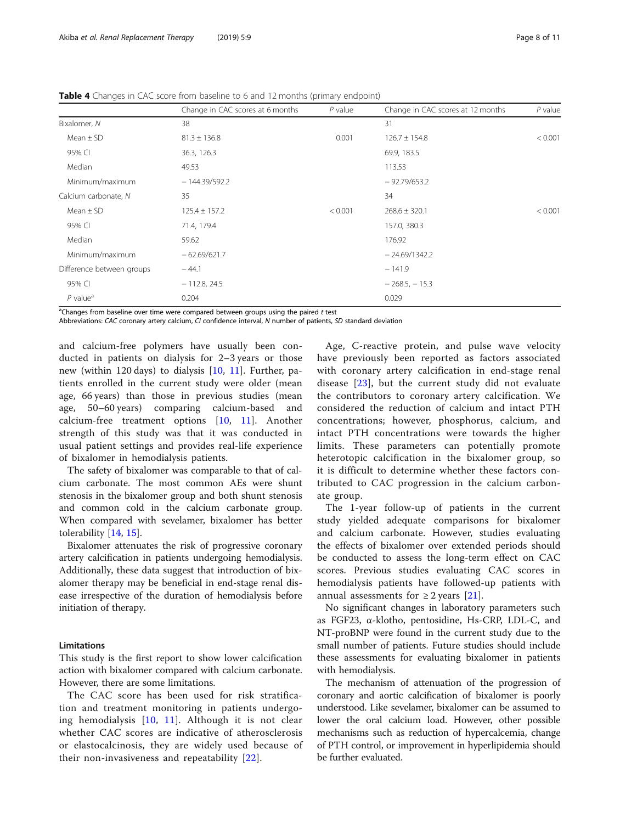<span id="page-7-0"></span>

| Table 4 Changes in CAC score from baseline to 6 and 12 months (primary endpoint) |  |  |
|----------------------------------------------------------------------------------|--|--|
|----------------------------------------------------------------------------------|--|--|

|                           | Change in CAC scores at 6 months | $P$ value | Change in CAC scores at 12 months | $P$ value |
|---------------------------|----------------------------------|-----------|-----------------------------------|-----------|
| Bixalomer, N              | 38                               |           | 31                                |           |
| $Mean \pm SD$             | $81.3 \pm 136.8$                 | 0.001     | $126.7 \pm 154.8$                 | < 0.001   |
| 95% CI                    | 36.3, 126.3                      |           | 69.9, 183.5                       |           |
| Median                    | 49.53                            |           | 113.53                            |           |
| Minimum/maximum           | $-144.39/592.2$                  |           | $-92.79/653.2$                    |           |
| Calcium carbonate, N      | 35                               |           | 34                                |           |
| $Mean \pm SD$             | $125.4 \pm 157.2$                | < 0.001   | $268.6 \pm 320.1$                 | < 0.001   |
| 95% CI                    | 71.4, 179.4                      |           | 157.0, 380.3                      |           |
| Median                    | 59.62                            |           | 176.92                            |           |
| Minimum/maximum           | $-62.69/621.7$                   |           | $-24.69/1342.2$                   |           |
| Difference between groups | $-44.1$                          |           | $-141.9$                          |           |
| 95% CI                    | $-112.8, 24.5$                   |           | $-268.5, -15.3$                   |           |
| $P$ value <sup>a</sup>    | 0.204                            |           | 0.029                             |           |

<sup>a</sup>Changes from baseline over time were compared between groups using the paired t test

Abbreviations: CAC coronary artery calcium, CI confidence interval, N number of patients, SD standard deviation

and calcium-free polymers have usually been conducted in patients on dialysis for 2–3 years or those new (within 120 days) to dialysis [[10](#page-10-0), [11\]](#page-10-0). Further, patients enrolled in the current study were older (mean age, 66 years) than those in previous studies (mean age, 50–60 years) comparing calcium-based and calcium-free treatment options [\[10](#page-10-0), [11\]](#page-10-0). Another strength of this study was that it was conducted in usual patient settings and provides real-life experience of bixalomer in hemodialysis patients.

The safety of bixalomer was comparable to that of calcium carbonate. The most common AEs were shunt stenosis in the bixalomer group and both shunt stenosis and common cold in the calcium carbonate group. When compared with sevelamer, bixalomer has better tolerability [\[14](#page-10-0), [15](#page-10-0)].

Bixalomer attenuates the risk of progressive coronary artery calcification in patients undergoing hemodialysis. Additionally, these data suggest that introduction of bixalomer therapy may be beneficial in end-stage renal disease irrespective of the duration of hemodialysis before initiation of therapy.

# Limitations

This study is the first report to show lower calcification action with bixalomer compared with calcium carbonate. However, there are some limitations.

The CAC score has been used for risk stratification and treatment monitoring in patients undergoing hemodialysis [[10,](#page-10-0) [11](#page-10-0)]. Although it is not clear whether CAC scores are indicative of atherosclerosis or elastocalcinosis, they are widely used because of their non-invasiveness and repeatability [[22](#page-10-0)].

Age, C-reactive protein, and pulse wave velocity have previously been reported as factors associated with coronary artery calcification in end-stage renal disease [[23](#page-10-0)], but the current study did not evaluate the contributors to coronary artery calcification. We considered the reduction of calcium and intact PTH concentrations; however, phosphorus, calcium, and intact PTH concentrations were towards the higher limits. These parameters can potentially promote heterotopic calcification in the bixalomer group, so it is difficult to determine whether these factors contributed to CAC progression in the calcium carbonate group.

The 1-year follow-up of patients in the current study yielded adequate comparisons for bixalomer and calcium carbonate. However, studies evaluating the effects of bixalomer over extended periods should be conducted to assess the long-term effect on CAC scores. Previous studies evaluating CAC scores in hemodialysis patients have followed-up patients with annual assessments for  $\geq 2$  years [\[21](#page-10-0)].

No significant changes in laboratory parameters such as FGF23, α-klotho, pentosidine, Hs-CRP, LDL-C, and NT-proBNP were found in the current study due to the small number of patients. Future studies should include these assessments for evaluating bixalomer in patients with hemodialysis.

The mechanism of attenuation of the progression of coronary and aortic calcification of bixalomer is poorly understood. Like sevelamer, bixalomer can be assumed to lower the oral calcium load. However, other possible mechanisms such as reduction of hypercalcemia, change of PTH control, or improvement in hyperlipidemia should be further evaluated.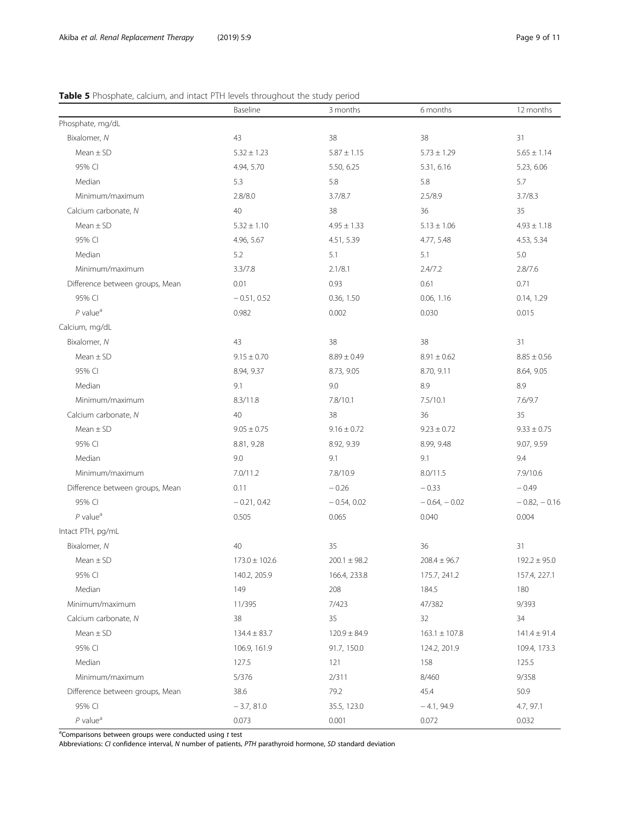# <span id="page-8-0"></span>Table 5 Phosphate, calcium, and intact PTH levels throughout the study period

|                                     | Baseline          | 3 months         | 6 months          | 12 months        |
|-------------------------------------|-------------------|------------------|-------------------|------------------|
| Phosphate, mg/dL                    |                   |                  |                   |                  |
| Bixalomer, N                        | 43                | 38               | 38                | 31               |
| Mean $\pm$ SD                       | $5.32 \pm 1.23$   | $5.87 \pm 1.15$  | $5.73 \pm 1.29$   | $5.65 \pm 1.14$  |
| 95% CI                              | 4.94, 5.70        | 5.50, 6.25       | 5.31, 6.16        | 5.23, 6.06       |
| Median                              | 5.3               | 5.8              | 5.8               | 5.7              |
| Minimum/maximum                     | 2.8/8.0           | 3.7/8.7          | 2.5/8.9           | 3.7/8.3          |
| Calcium carbonate, N                | 40                | 38               | 36                | 35               |
| Mean $\pm$ SD                       | $5.32 \pm 1.10$   | $4.95 \pm 1.33$  | $5.13 \pm 1.06$   | $4.93 \pm 1.18$  |
| 95% CI                              | 4.96, 5.67        | 4.51, 5.39       | 4.77, 5.48        | 4.53, 5.34       |
| Median                              | 5.2               | 5.1              | 5.1               | 5.0              |
| Minimum/maximum                     | 3.3/7.8           | 2.1/8.1          | 2.4/7.2           | 2.8/7.6          |
| Difference between groups, Mean     | 0.01              | 0.93             | 0.61              | 0.71             |
| 95% CI                              | $-0.51, 0.52$     | 0.36, 1.50       | 0.06, 1.16        | 0.14, 1.29       |
| $P$ value <sup>a</sup>              | 0.982             | 0.002            | 0.030             | 0.015            |
| Calcium, mg/dL                      |                   |                  |                   |                  |
| Bixalomer, N                        | 43                | 38               | 38                | 31               |
| $Mean \pm SD$                       | $9.15 \pm 0.70$   | $8.89 \pm 0.49$  | $8.91 \pm 0.62$   | $8.85 \pm 0.56$  |
| 95% CI                              | 8.94, 9.37        | 8.73, 9.05       | 8.70, 9.11        | 8.64, 9.05       |
| Median                              | 9.1               | 9.0              | 8.9               | 8.9              |
| Minimum/maximum                     | 8.3/11.8          | 7.8/10.1         | 7.5/10.1          | 7.6/9.7          |
| Calcium carbonate, N                | 40                | 38               | 36                | 35               |
| Mean $\pm$ SD                       | $9.05 \pm 0.75$   | $9.16 \pm 0.72$  | $9.23 \pm 0.72$   | $9.33 \pm 0.75$  |
| 95% CI                              | 8.81, 9.28        | 8.92, 9.39       | 8.99, 9.48        | 9.07, 9.59       |
| Median                              | 9.0               | 9.1              | 9.1               | 9.4              |
| Minimum/maximum                     | 7.0/11.2          | 7.8/10.9         | 8.0/11.5          | 7.9/10.6         |
| Difference between groups, Mean     | 0.11              | $-0.26$          | $-0.33$           | $-0.49$          |
| 95% CI                              | $-0.21, 0.42$     | $-0.54, 0.02$    | $-0.64, -0.02$    | $-0.82, -0.16$   |
| $P$ value <sup>a</sup>              | 0.505             | 0.065            | 0.040             | 0.004            |
| Intact PTH, pg/mL                   |                   |                  |                   |                  |
| Bixalomer, N                        | 40                | 35               | 36                | 31               |
| Mean $\pm$ SD                       | $173.0 \pm 102.6$ | $200.1 \pm 98.2$ | $208.4 \pm 96.7$  | $192.2 \pm 95.0$ |
| 95% CI                              | 140.2, 205.9      | 166.4, 233.8     | 175.7, 241.2      | 157.4, 227.1     |
| Median                              | 149               | 208              | 184.5             | 180              |
| Minimum/maximum                     | 11/395            | 7/423            | 47/382            | 9/393            |
| Calcium carbonate, N                | 38                | 35               | 32                | 34               |
| $Mean \pm SD$                       | $134.4 \pm 83.7$  | $120.9 \pm 84.9$ | $163.1 \pm 107.8$ | $141.4 \pm 91.4$ |
| 95% CI                              | 106.9, 161.9      | 91.7, 150.0      | 124.2, 201.9      | 109.4, 173.3     |
| Median                              | 127.5             | 121              | 158               | 125.5            |
| Minimum/maximum                     | 5/376             | 2/311            | 8/460             | 9/358            |
| Difference between groups, Mean     | 38.6              | 79.2             | 45.4              | 50.9             |
| 95% CI                              | $-3.7, 81.0$      | 35.5, 123.0      | $-4.1, 94.9$      | 4.7, 97.1        |
| $P$ value <sup><math>a</math></sup> | 0.073             | 0.001            | 0.072             | 0.032            |

<sup>a</sup>Comparisons between groups were conducted using t test

Abbreviations: CI confidence interval, N number of patients, PTH parathyroid hormone, SD standard deviation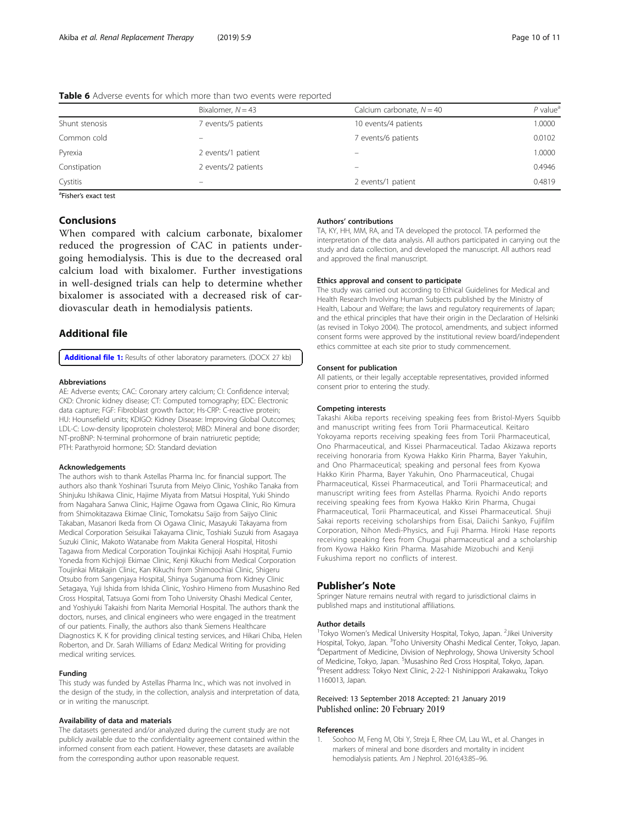|                                  | Bixalomer, $N = 43$ | Calcium carbonate, $N = 40$ | $P$ value <sup><math>\ddot{ }</math></sup> |
|----------------------------------|---------------------|-----------------------------|--------------------------------------------|
| Shunt stenosis                   | 7 events/5 patients | 10 events/4 patients        | 1.0000                                     |
| Common cold                      |                     | 7 events/6 patients         | 0.0102                                     |
| Pyrexia                          | 2 events/1 patient  | $\overline{\phantom{m}}$    | 1.0000                                     |
| Constipation                     | 2 events/2 patients | -                           | 0.4946                                     |
| Cystitis                         | -                   | 2 events/1 patient          | 0.4819                                     |
| <sup>a</sup> Fisher's exact test |                     |                             |                                            |

<span id="page-9-0"></span>Table 6 Adverse events for which more than two events were reported

# Conclusions

When compared with calcium carbonate, bixalomer reduced the progression of CAC in patients undergoing hemodialysis. This is due to the decreased oral calcium load with bixalomer. Further investigations in well-designed trials can help to determine whether bixalomer is associated with a decreased risk of cardiovascular death in hemodialysis patients.

# Additional file

[Additional file 1:](https://doi.org/10.1186/s41100-019-0201-3) Results of other laboratory parameters. (DOCX 27 kb)

#### Abbreviations

AE: Adverse events; CAC: Coronary artery calcium; CI: Confidence interval; CKD: Chronic kidney disease; CT: Computed tomography; EDC: Electronic data capture; FGF: Fibroblast growth factor; Hs-CRP: C-reactive protein; HU: Hounsefield units; KDIGO: Kidney Disease: Improving Global Outcomes; LDL-C: Low-density lipoprotein cholesterol; MBD: Mineral and bone disorder; NT-proBNP: N-terminal prohormone of brain natriuretic peptide; PTH: Parathyroid hormone; SD: Standard deviation

#### Acknowledgements

The authors wish to thank Astellas Pharma Inc. for financial support. The authors also thank Yoshinari Tsuruta from Meiyo Clinic, Yoshiko Tanaka from Shinjuku Ishikawa Clinic, Hajime Miyata from Matsui Hospital, Yuki Shindo from Nagahara Sanwa Clinic, Hajime Ogawa from Ogawa Clinic, Rio Kimura from Shimokitazawa Ekimae Clinic, Tomokatsu Saijo from Saijyo Clinic Takaban, Masanori Ikeda from Oi Ogawa Clinic, Masayuki Takayama from Medical Corporation Seisuikai Takayama Clinic, Toshiaki Suzuki from Asagaya Suzuki Clinic, Makoto Watanabe from Makita General Hospital, Hitoshi Tagawa from Medical Corporation Toujinkai Kichijoji Asahi Hospital, Fumio Yoneda from Kichijoji Ekimae Clinic, Kenji Kikuchi from Medical Corporation Toujinkai Mitakajin Clinic, Kan Kikuchi from Shimoochiai Clinic, Shigeru Otsubo from Sangenjaya Hospital, Shinya Suganuma from Kidney Clinic Setagaya, Yuji Ishida from Ishida Clinic, Yoshiro Himeno from Musashino Red Cross Hospital, Tatsuya Gomi from Toho University Ohashi Medical Center, and Yoshiyuki Takaishi from Narita Memorial Hospital. The authors thank the doctors, nurses, and clinical engineers who were engaged in the treatment of our patients. Finally, the authors also thank Siemens Healthcare Diagnostics K. K for providing clinical testing services, and Hikari Chiba, Helen Roberton, and Dr. Sarah Williams of Edanz Medical Writing for providing medical writing services.

#### Funding

This study was funded by Astellas Pharma Inc., which was not involved in the design of the study, in the collection, analysis and interpretation of data, or in writing the manuscript.

#### Availability of data and materials

The datasets generated and/or analyzed during the current study are not publicly available due to the confidentiality agreement contained within the informed consent from each patient. However, these datasets are available from the corresponding author upon reasonable request.

#### Authors' contributions

TA, KY, HH, MM, RA, and TA developed the protocol. TA performed the interpretation of the data analysis. All authors participated in carrying out the study and data collection, and developed the manuscript. All authors read and approved the final manuscript.

#### Ethics approval and consent to participate

The study was carried out according to Ethical Guidelines for Medical and Health Research Involving Human Subjects published by the Ministry of Health, Labour and Welfare; the laws and regulatory requirements of Japan; and the ethical principles that have their origin in the Declaration of Helsinki (as revised in Tokyo 2004). The protocol, amendments, and subject informed consent forms were approved by the institutional review board/independent ethics committee at each site prior to study commencement.

#### Consent for publication

All patients, or their legally acceptable representatives, provided informed consent prior to entering the study.

#### Competing interests

Takashi Akiba reports receiving speaking fees from Bristol-Myers Squibb and manuscript writing fees from Torii Pharmaceutical. Keitaro Yokoyama reports receiving speaking fees from Torii Pharmaceutical, Ono Pharmaceutical, and Kissei Pharmaceutical. Tadao Akizawa reports receiving honoraria from Kyowa Hakko Kirin Pharma, Bayer Yakuhin, and Ono Pharmaceutical; speaking and personal fees from Kyowa Hakko Kirin Pharma, Bayer Yakuhin, Ono Pharmaceutical, Chugai Pharmaceutical, Kissei Pharmaceutical, and Torii Pharmaceutical; and manuscript writing fees from Astellas Pharma. Ryoichi Ando reports receiving speaking fees from Kyowa Hakko Kirin Pharma, Chugai Pharmaceutical, Torii Pharmaceutical, and Kissei Pharmaceutical. Shuji Sakai reports receiving scholarships from Eisai, Daiichi Sankyo, Fujifilm Corporation, Nihon Medi-Physics, and Fuji Pharma. Hiroki Hase reports receiving speaking fees from Chugai pharmaceutical and a scholarship from Kyowa Hakko Kirin Pharma. Masahide Mizobuchi and Kenji Fukushima report no conflicts of interest.

#### Publisher's Note

Springer Nature remains neutral with regard to jurisdictional claims in published maps and institutional affiliations.

#### Author details

<sup>1</sup>Tokyo Women's Medical University Hospital, Tokyo, Japan. <sup>2</sup>Jikei University Hospital, Tokyo, Japan. <sup>3</sup>Toho University Ohashi Medical Center, Tokyo, Japan.<br><sup>4</sup>Dopartment of Medicine, Division of Nephrelogy, Showa University School. <sup>4</sup>Department of Medicine, Division of Nephrology, Showa University School of Medicine, Tokyo, Japan. <sup>5</sup> Musashino Red Cross Hospital, Tokyo, Japan.<br><sup>6</sup> Procent address: Tokyo Novt Clinic, 2,22,1 Nichinippori, Arakawaku, Tok Present address: Tokyo Next Clinic, 2-22-1 Nishinippori Arakawaku, Tokyo 1160013, Japan.

#### Received: 13 September 2018 Accepted: 21 January 2019 Published online: 20 February 2019

#### References

Soohoo M, Feng M, Obi Y, Streja E, Rhee CM, Lau WL, et al. Changes in markers of mineral and bone disorders and mortality in incident hemodialysis patients. Am J Nephrol. 2016;43:85–96.